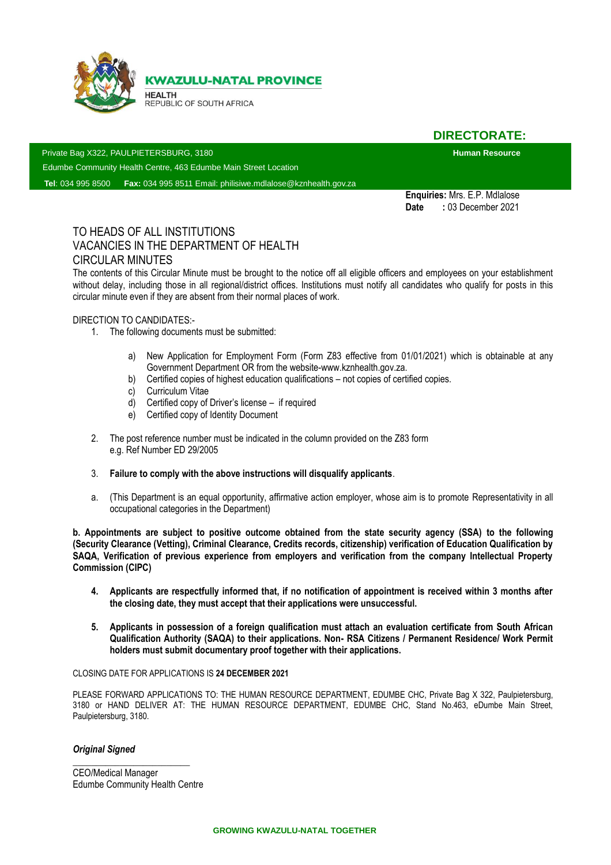

i

**KWAZULU-NATAL PROVINCE** 

**HEALTH** REPUBLIC OF SOUTH AFRICA

**DIRECTORATE:**

Private Bag X322, PAULPIETERSBURG, 3180 **Human Resource**

Edumbe Community Health Centre, 463 Edumbe Main Street Location

**Tel**: 034 995 8500 **Fax:** 034 995 8511 Email: philisiwe.mdlalose@kznhealth.gov.za

**Enquiries:** Mrs. E.P. Mdlalose **Date :** 03 December 2021

# TO HEADS OF ALL INSTITUTIONS VACANCIES IN THE DEPARTMENT OF HEALTH CIRCULAR MINUTES

The contents of this Circular Minute must be brought to the notice off all eligible officers and employees on your establishment without delay, including those in all regional/district offices. Institutions must notify all candidates who qualify for posts in this circular minute even if they are absent from their normal places of work.

### DIRECTION TO CANDIDATES:-

- 1. The following documents must be submitted:
	- a) New Application for Employment Form (Form Z83 effective from 01/01/2021) which is obtainable at any Government Department OR from the website-www.kznhealth.gov.za.
	- b) Certified copies of highest education qualifications not copies of certified copies.
	- c) Curriculum Vitae
	- d) Certified copy of Driver's license if required
	- e) Certified copy of Identity Document
- 2. The post reference number must be indicated in the column provided on the Z83 form e.g. Ref Number ED 29/2005
- 3. **Failure to comply with the above instructions will disqualify applicants**.
- a. (This Department is an equal opportunity, affirmative action employer, whose aim is to promote Representativity in all occupational categories in the Department)

**b. Appointments are subject to positive outcome obtained from the state security agency (SSA) to the following (Security Clearance (Vetting), Criminal Clearance, Credits records, citizenship) verification of Education Qualification by SAQA, Verification of previous experience from employers and verification from the company Intellectual Property Commission (CIPC)**

- **4. Applicants are respectfully informed that, if no notification of appointment is received within 3 months after the closing date, they must accept that their applications were unsuccessful.**
- **5. Applicants in possession of a foreign qualification must attach an evaluation certificate from South African Qualification Authority (SAQA) to their applications. Non- RSA Citizens / Permanent Residence/ Work Permit holders must submit documentary proof together with their applications.**

#### CLOSING DATE FOR APPLICATIONS IS **24 DECEMBER 2021**

PLEASE FORWARD APPLICATIONS TO: THE HUMAN RESOURCE DEPARTMENT, EDUMBE CHC, Private Bag X 322, Paulpietersburg, 3180 or HAND DELIVER AT: THE HUMAN RESOURCE DEPARTMENT, EDUMBE CHC, Stand No.463, eDumbe Main Street, Paulpietersburg, 3180.

#### *Original Signed*

CEO/Medical Manager Edumbe Community Health Centre

*\_\_\_\_\_\_\_\_\_\_\_\_\_\_\_\_\_\_\_\_\_\_\_\_\_*